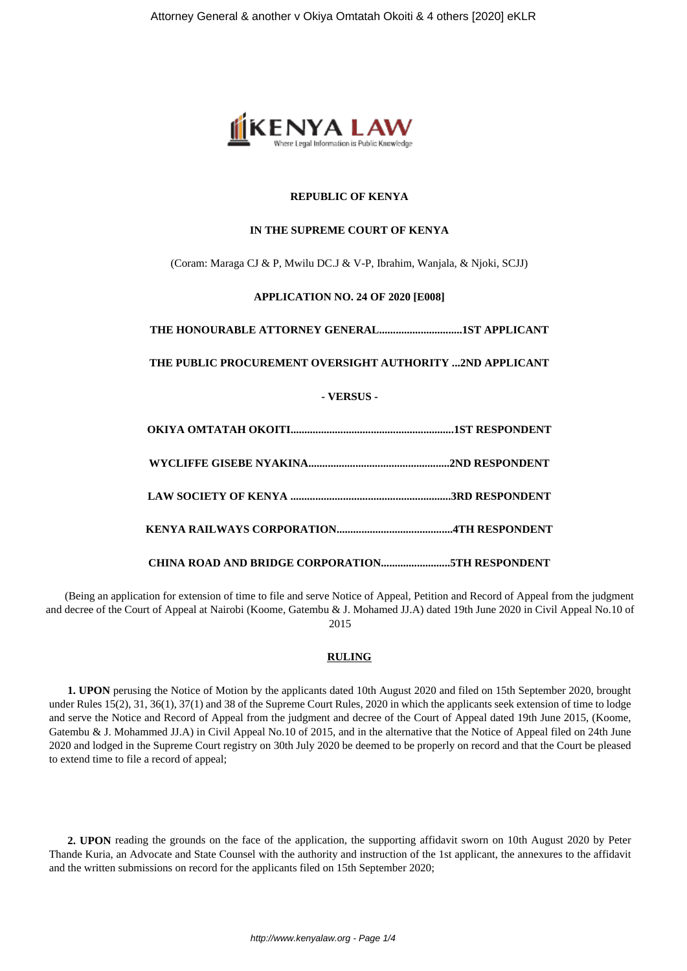

## **REPUBLIC OF KENYA**

### **IN THE SUPREME COURT OF KENYA**

(Coram: Maraga CJ & P, Mwilu DC.J & V-P, Ibrahim, Wanjala, & Njoki, SCJJ)

# **APPLICATION NO. 24 OF 2020 [E008]**

**THE HONOURABLE ATTORNEY GENERAL..............................1ST APPLICANT**

**THE PUBLIC PROCUREMENT OVERSIGHT AUTHORITY ...2ND APPLICANT**

# **- VERSUS -**

(Being an application for extension of time to file and serve Notice of Appeal, Petition and Record of Appeal from the judgment and decree of the Court of Appeal at Nairobi (Koome, Gatembu & J. Mohamed JJ.A) dated 19th June 2020 in Civil Appeal No.10 of 2015

### **RULING**

**1. UPON** perusing the Notice of Motion by the applicants dated 10th August 2020 and filed on 15th September 2020, brought under Rules 15(2), 31, 36(1), 37(1) and 38 of the Supreme Court Rules, 2020 in which the applicants seek extension of time to lodge and serve the Notice and Record of Appeal from the judgment and decree of the Court of Appeal dated 19th June 2015, (Koome, Gatembu & J. Mohammed JJ.A) in Civil Appeal No.10 of 2015, and in the alternative that the Notice of Appeal filed on 24th June 2020 and lodged in the Supreme Court registry on 30th July 2020 be deemed to be properly on record and that the Court be pleased to extend time to file a record of appeal;

**2. UPON** reading the grounds on the face of the application, the supporting affidavit sworn on 10th August 2020 by Peter Thande Kuria, an Advocate and State Counsel with the authority and instruction of the 1st applicant, the annexures to the affidavit and the written submissions on record for the applicants filed on 15th September 2020;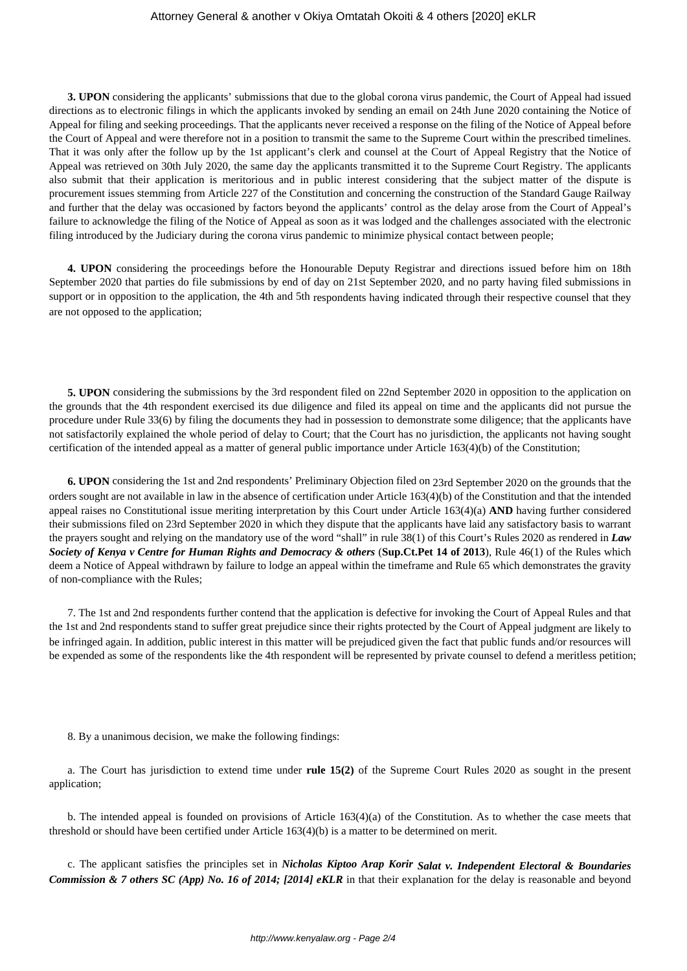## Attorney General & another v Okiya Omtatah Okoiti & 4 others [2020] eKLR

**3. UPON** considering the applicants' submissions that due to the global corona virus pandemic, the Court of Appeal had issued directions as to electronic filings in which the applicants invoked by sending an email on 24th June 2020 containing the Notice of Appeal for filing and seeking proceedings. That the applicants never received a response on the filing of the Notice of Appeal before the Court of Appeal and were therefore not in a position to transmit the same to the Supreme Court within the prescribed timelines. That it was only after the follow up by the 1st applicant's clerk and counsel at the Court of Appeal Registry that the Notice of Appeal was retrieved on 30th July 2020, the same day the applicants transmitted it to the Supreme Court Registry. The applicants also submit that their application is meritorious and in public interest considering that the subject matter of the dispute is procurement issues stemming from Article 227 of the Constitution and concerning the construction of the Standard Gauge Railway and further that the delay was occasioned by factors beyond the applicants' control as the delay arose from the Court of Appeal's failure to acknowledge the filing of the Notice of Appeal as soon as it was lodged and the challenges associated with the electronic filing introduced by the Judiciary during the corona virus pandemic to minimize physical contact between people;

**4. UPON** considering the proceedings before the Honourable Deputy Registrar and directions issued before him on 18th September 2020 that parties do file submissions by end of day on 21st September 2020, and no party having filed submissions in support or in opposition to the application, the 4th and 5th respondents having indicated through their respective counsel that they are not opposed to the application;

**5. UPON** considering the submissions by the 3rd respondent filed on 22nd September 2020 in opposition to the application on the grounds that the 4th respondent exercised its due diligence and filed its appeal on time and the applicants did not pursue the procedure under Rule 33(6) by filing the documents they had in possession to demonstrate some diligence; that the applicants have not satisfactorily explained the whole period of delay to Court; that the Court has no jurisdiction, the applicants not having sought certification of the intended appeal as a matter of general public importance under Article 163(4)(b) of the Constitution;

**6. UPON** considering the 1st and 2nd respondents' Preliminary Objection filed on 23rd September 2020 on the grounds that the orders sought are not available in law in the absence of certification under Article 163(4)(b) of the Constitution and that the intended appeal raises no Constitutional issue meriting interpretation by this Court under Article 163(4)(a) **AND** having further considered their submissions filed on 23rd September 2020 in which they dispute that the applicants have laid any satisfactory basis to warrant the prayers sought and relying on the mandatory use of the word "shall" in rule 38(1) of this Court's Rules 2020 as rendered in *Law Society of Kenya v Centre for Human Rights and Democracy & others* (**Sup.Ct.Pet 14 of 2013**), Rule 46(1) of the Rules which deem a Notice of Appeal withdrawn by failure to lodge an appeal within the timeframe and Rule 65 which demonstrates the gravity of non-compliance with the Rules;

7. The 1st and 2nd respondents further contend that the application is defective for invoking the Court of Appeal Rules and that the 1st and 2nd respondents stand to suffer great prejudice since their rights protected by the Court of Appeal judgment are likely to be infringed again. In addition, public interest in this matter will be prejudiced given the fact that public funds and/or resources will be expended as some of the respondents like the 4th respondent will be represented by private counsel to defend a meritless petition;

8. By a unanimous decision, we make the following findings:

a. The Court has jurisdiction to extend time under **rule 15(2)** of the Supreme Court Rules 2020 as sought in the present application;

b. The intended appeal is founded on provisions of Article 163(4)(a) of the Constitution. As to whether the case meets that threshold or should have been certified under Article 163(4)(b) is a matter to be determined on merit.

c. The applicant satisfies the principles set in *Nicholas Kiptoo Arap Korir Salat v. Independent Electoral & Boundaries Commission & 7 others SC (App) No. 16 of 2014; [2014] eKLR* in that their explanation for the delay is reasonable and beyond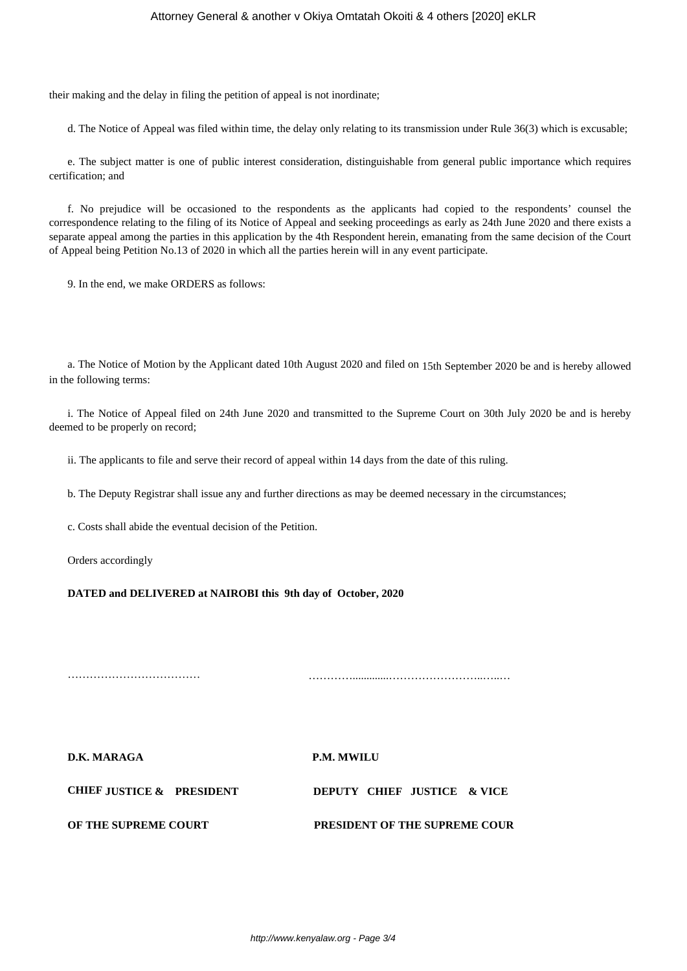their making and the delay in filing the petition of appeal is not inordinate;

d. The Notice of Appeal was filed within time, the delay only relating to its transmission under Rule 36(3) which is excusable;

e. The subject matter is one of public interest consideration, distinguishable from general public importance which requires certification; and

f. No prejudice will be occasioned to the respondents as the applicants had copied to the respondents' counsel the correspondence relating to the filing of its Notice of Appeal and seeking proceedings as early as 24th June 2020 and there exists a separate appeal among the parties in this application by the 4th Respondent herein, emanating from the same decision of the Court of Appeal being Petition No.13 of 2020 in which all the parties herein will in any event participate.

9. In the end, we make ORDERS as follows:

a. The Notice of Motion by the Applicant dated 10th August 2020 and filed on 15th September 2020 be and is hereby allowed in the following terms:

i. The Notice of Appeal filed on 24th June 2020 and transmitted to the Supreme Court on 30th July 2020 be and is hereby deemed to be properly on record;

ii. The applicants to file and serve their record of appeal within 14 days from the date of this ruling.

b. The Deputy Registrar shall issue any and further directions as may be deemed necessary in the circumstances;

c. Costs shall abide the eventual decision of the Petition.

Orders accordingly

**DATED and DELIVERED at NAIROBI this 9th day of October, 2020**

……………………………… ………….............……………………..…..…

**D.K. MARAGA P.M. MWILU**

| <b>CHIEF JUSTICE &amp; PRESIDENT</b> |  | DEPUTY CHIEF JUSTICE & VICE          |  |
|--------------------------------------|--|--------------------------------------|--|
| OF THE SUPREME COURT                 |  | <b>PRESIDENT OF THE SUPREME COUR</b> |  |